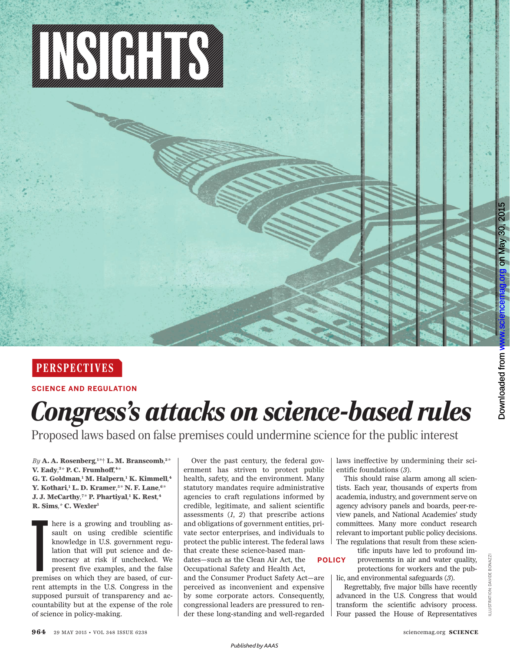

## **PERSPECTIVES**

**SCIENCE AND REGULATION**

## *Congress's attacks on science-based rules*

Proposed laws based on false premises could undermine science for the public interest

*By* **A. A. Rosenberg***,* **<sup>1</sup>***\** † **L. M. Branscomb** *,* **<sup>2</sup>***\**  **V.** Eady,<sup>3\*</sup> P. C. Frumhoff,<sup>4\*</sup> **G. T. Goldman** *,* **<sup>1</sup> M. Halpern***,* **<sup>1</sup> K. Kimmell** *,* **4 Y. Kothari** *,* **<sup>1</sup> L. D. Kramer***,* **<sup>5</sup>***\** **N. F. Lane***,* **<sup>6</sup>***\**  **J. J. McCarthy***,* **<sup>7</sup>***\** **P. Phartiyal** *,* **<sup>1</sup> K. Rest** *,* **4 R. Sims***,\** **C. Wexler <sup>1</sup>**

here is a growing and troubling as-<br>sault on using credible scientific<br>knowledge in U.S. government regu-<br>lation that will put science and de-<br>mocracy at risk if unchecked. We<br>premises on which they are based, of cur-<br>emis sault on using credible scientific knowledge in U.S. government regulation that will put science and democracy at risk if unchecked. We present five examples, and the false rent attempts in the U.S. Congress in the supposed pursuit of transparency and accountability but at the expense of the role of science in policy-making.

Over the past century, the federal government has striven to protect public health, safety, and the environment. Many statutory mandates require administrative agencies to craft regulations informed by credible, legitimate, and salient scientific assessments  $(1, 2)$  that prescribe actions and obligations of government entities, private sector enterprises, and individuals to protect the public interest. The federal laws that create these science-based man-

dates—such as the Clean Air Act, the Occupational Safety and Health Act,

and the Consumer Product Safety Act—are perceived as inconvenient and expensive by some corporate actors. Consequently, congressional leaders are pressured to render these long-standing and well-regarded laws ineffective by undermining their scientific foundations (3).

This should raise alarm among all scientists. Each year, thousands of experts from academia, industry, and government serve on agency advisory panels and boards, peer-review panels, and National Academies' study committees. Many more conduct research relevant to important public policy decisions. The regulations that result from these scien-

**POLICY**

tific inputs have led to profound improvements in air and water quality, protections for workers and the public, and environmental safeguards (3).

Regrettably, five major bills have recently advanced in the U.S. Congress that would transform the scientific advisory process. Four passed the House of Representatives on May 30, 2015

on May 30, 2015

[www.sciencemag.org](http://www.sciencemag.org/)

*Published byAAAS*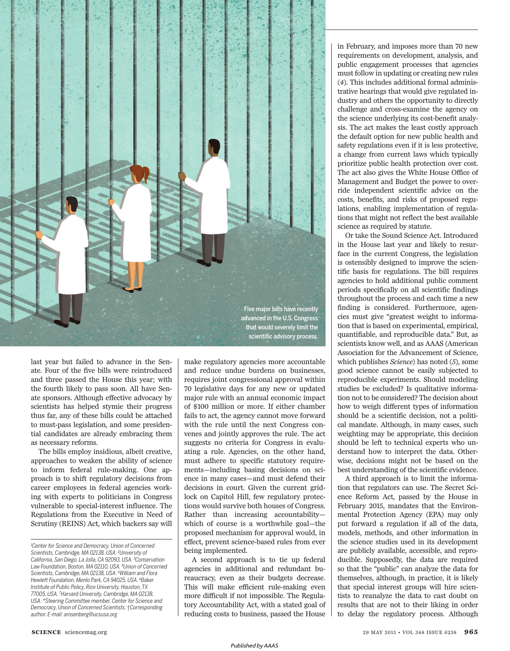

last year but failed to advance in the Senate. Four of the five bills were reintroduced and three passed the House this year; with the fourth likely to pass soon. All have Senate sponsors. Although effective advocacy by scientists has helped stymie their progress thus far, any of these bills could be attached to must-pass legislation, and some presidential candidates are already embracing them as necessary reforms.

The bills employ insidious, albeit creative, approaches to weaken the ability of science to inform federal rule-making. One approach is to shift regulatory decisions from career employees in federal agencies working with experts to politicians in Congress vulnerable to special-interest influence. The Regulations from the Executive in Need of Scrutiny (REINS) Act, which backers say will make regulatory agencies more accountable and reduce undue burdens on businesses, requires joint congressional approval within 70 legislative days for any new or updated major rule with an annual economic impact of \$100 million or more. If either chamber fails to act, the agency cannot move forward with the rule until the next Congress convenes and jointly approves the rule. The act suggests no criteria for Congress in evaluating a rule. Agencies, on the other hand, must adhere to specific statutory requirements—including basing decisions on science in many cases—and must defend their decisions in court. Given the current gridlock on Capitol Hill, few regulatory protections would survive both houses of Congress. Rather than increasing accountability which of course is a worthwhile goal—the proposed mechanism for approval would, in effect, prevent science-based rules from ever being implemented.

A second approach is to tie up federal agencies in additional and redundant bureaucracy, even as their budgets decrease. This will make efficient rule-making even more difficult if not impossible. The Regulatory Accountability Act, with a stated goal of reducing costs to business, passed the House

in February, and imposes more than 70 new requirements on development, analysis, and public engagement processes that agencies must follow in updating or creating new rules ( *4*). This includes additional formal administrative hearings that would give regulated industry and others the opportunity to directly challenge and cross-examine the agency on the science underlying its cost-benefit analysis. The act makes the least costly approach the default option for new public health and safety regulations even if it is less protective, a change from current laws which typically prioritize public health protection over cost. The act also gives the White House Office of Management and Budget the power to override independent scientific advice on the costs, benefits, and risks of proposed regulations, enabling implementation of regulations that might not reflect the best available science as required by statute.

Or take the Sound Science Act. Introduced in the House last year and likely to resurface in the current Congress, the legislation is ostensibly designed to improve the scientific basis for regulations. The bill requires agencies to hold additional public comment periods specifically on all scientific findings throughout the process and each time a new finding is considered. Furthermore, agencies must give "greatest weight to information that is based on experimental, empirical, quantifiable, and reproducible data." But, as scientists know well, and as AAAS (American Association for the Advancement of Science, which publishes *Science*) has noted (5), some good science cannot be easily subjected to reproducible experiments. Should modeling studies be excluded? Is qualitative information not to be considered? The decision about how to weigh different types of information should be a scientific decision, not a political mandate. Although, in many cases, such weighting may be appropriate, this decision should be left to technical experts who understand how to interpret the data. Otherwise, decisions might not be based on the best understanding of the scientific evidence.

A third approach is to limit the information that regulators can use. The Secret Science Reform Act, passed by the House in February 2015, mandates that the Environmental Protection Agency (EPA) may only put forward a regulation if all of the data, models, methods, and other information in the science studies used in its development are publicly available, accessible, and reproducible. Supposedly, the data are required so that the "public" can analyze the data for themselves, although, in practice, it is likely that special interest groups will hire scientists to reanalyze the data to cast doubt on results that are not to their liking in order to delay the regulatory process. Although

*<sup>1</sup>Center for Science and Democracy, Union of Concerned Scientists, Cambridge, MA 02138, USA. <sup>2</sup>University of California, San Diego, La Jolla, CA 92093, USA. <sup>3</sup>Conservation Law Foundation, Boston, MA 02110, USA. <sup>4</sup>Union of Concerned Scientists, Cambridge, MA 02138, USA. <sup>5</sup>William and Flora Hewlett Foundation, Menlo Park, CA 94025, USA. <sup>6</sup>Baker Institute of Public Policy, Rice University, Houston, TX 77005, USA. <sup>7</sup>Harvard University, Cambridge, MA 02138, USA. \*Steering Committee member, Center for Science and Democracy, Union of Concerned Scientists.* †*Corresponding author. E-mail: arosenberg@ucsusa.org*